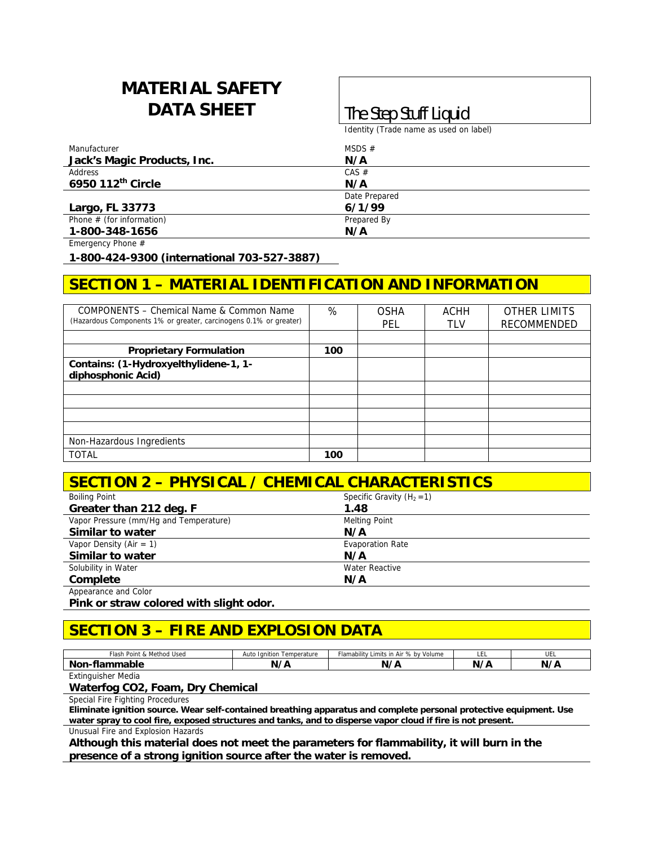# **MATERIAL SAFETY DATA SHEET The Step Stuff Liquid**

Identity (Trade name as used on label)

| Manufacturer                | MSDS $#$      |
|-----------------------------|---------------|
| Jack's Magic Products, Inc. | N/A           |
| Address                     | CAS #         |
| 6950 112th Circle           | N/A           |
|                             | Date Prepared |
| Largo, FL 33773             | 6/1/99        |
| Phone $#$ (for information) | Prepared By   |
| 1-800-348-1656              | N/A           |

Emergency Phone #

**1-800-424-9300 (international 703-527-3887)** 

## **SECTION 1 – MATERIAL IDENTIFICATION AND INFORMATION**

| COMPONENTS - Chemical Name & Common Name<br>(Hazardous Components 1% or greater, carcinogens 0.1% or greater) | %   | <b>OSHA</b><br><b>PEL</b> | ACHH<br><b>TLV</b> | <b>OTHER LIMITS</b><br><b>RECOMMENDED</b> |
|---------------------------------------------------------------------------------------------------------------|-----|---------------------------|--------------------|-------------------------------------------|
|                                                                                                               |     |                           |                    |                                           |
| <b>Proprietary Formulation</b>                                                                                | 100 |                           |                    |                                           |
| Contains: (1-Hydroxyelthylidene-1, 1-<br>diphosphonic Acid)                                                   |     |                           |                    |                                           |
|                                                                                                               |     |                           |                    |                                           |
|                                                                                                               |     |                           |                    |                                           |
|                                                                                                               |     |                           |                    |                                           |
|                                                                                                               |     |                           |                    |                                           |
| Non-Hazardous Ingredients                                                                                     |     |                           |                    |                                           |
| <b>TOTAL</b>                                                                                                  | 100 |                           |                    |                                           |

## **SECTION 2 – PHYSICAL / CHEMICAL CHARACTERISTICS**

| <b>Boiling Point</b>                   | Specific Gravity $(H_2 = 1)$ |  |
|----------------------------------------|------------------------------|--|
| Greater than 212 deg. F                | 1.48                         |  |
| Vapor Pressure (mm/Hq and Temperature) | <b>Melting Point</b>         |  |
| Similar to water                       | N/A                          |  |
| Vapor Density (Air = 1)                | <b>Evaporation Rate</b>      |  |
| Similar to water                       | N/A                          |  |
| Solubility in Water                    | <b>Water Reactive</b>        |  |
| Complete                               | N/A                          |  |
| Appearance and Color                   |                              |  |

**Pink or straw colored with slight odor.** 

#### **SECTION 3 – FIRE AND EXPLOSION DATA**

| Method Used<br>Flash<br>. .<br>n. | Temperature<br>Auto<br>ltior.<br>Tai | lamability<br>% by<br>` by Volume<br>Limits<br>in Air | -- | ◡∟∟       |
|-----------------------------------|--------------------------------------|-------------------------------------------------------|----|-----------|
| <b>Non</b><br>naoie<br>.          | ,,<br>w<br>.                         | - -<br>N,                                             | N. | N<br><br> |

Extinguisher Media

#### **Waterfog CO2, Foam, Dry Chemical**

Special Fire Fighting Procedures

**Eliminate ignition source. Wear self-contained breathing apparatus and complete personal protective equipment. Use water spray to cool fire, exposed structures and tanks, and to disperse vapor cloud if fire is not present.** 

Unusual Fire and Explosion Hazards

**Although this material does not meet the parameters for flammability, it will burn in the presence of a strong ignition source after the water is removed.**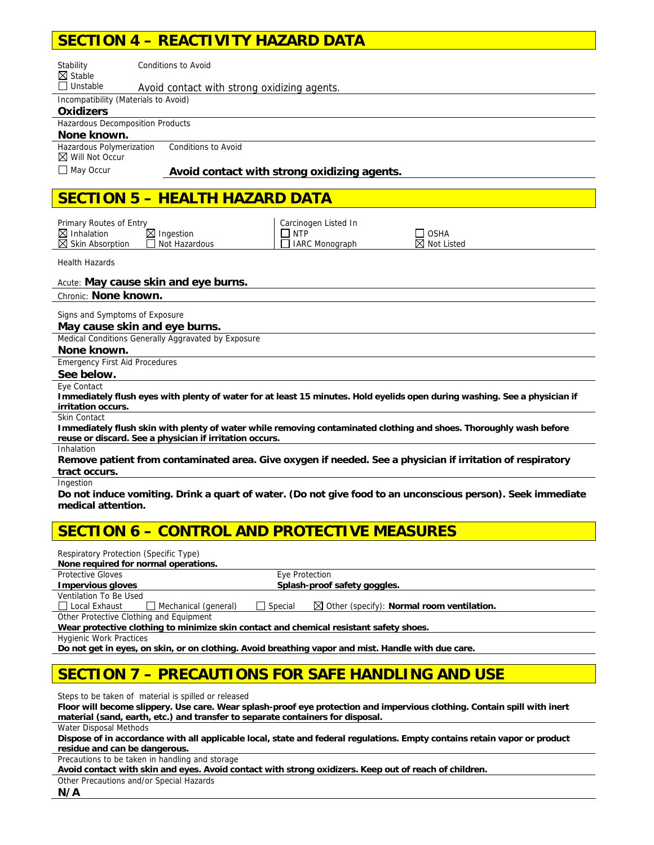#### **SECTION 4 – REACTIVITY HAZARD DATA**

| <b>Conditions to Avoid</b><br>Stability                                                                                                         |                           |
|-------------------------------------------------------------------------------------------------------------------------------------------------|---------------------------|
| $\boxtimes$ Stable<br>$\Box$ Unstable<br>Avoid contact with strong oxidizing agents.                                                            |                           |
| Incompatibility (Materials to Avoid)                                                                                                            |                           |
| <b>Oxidizers</b>                                                                                                                                |                           |
| Hazardous Decomposition Products                                                                                                                |                           |
| None known.                                                                                                                                     |                           |
| Hazardous Polymerization<br><b>Conditions to Avoid</b><br>$\boxtimes$ Will Not Occur                                                            |                           |
| $\Box$ May Occur<br>Avoid contact with strong oxidizing agents.                                                                                 |                           |
|                                                                                                                                                 |                           |
| <b>SECTION 5 - HEALTH HAZARD DATA</b>                                                                                                           |                           |
|                                                                                                                                                 |                           |
| Primary Routes of Entry<br>Carcinogen Listed In                                                                                                 |                           |
| $\boxtimes$ Inhalation<br>$\boxtimes$ Ingestion<br>$\Box$ NTP<br>Not Hazardous<br>Skin Absorption<br><b>IARC Monograph</b>                      | <b>OSHA</b><br>Not Listed |
|                                                                                                                                                 |                           |
| <b>Health Hazards</b>                                                                                                                           |                           |
| Acute: May cause skin and eye burns.                                                                                                            |                           |
| Chronic: None known.                                                                                                                            |                           |
| Signs and Symptoms of Exposure                                                                                                                  |                           |
| May cause skin and eye burns.                                                                                                                   |                           |
| Medical Conditions Generally Aggravated by Exposure                                                                                             |                           |
| None known.                                                                                                                                     |                           |
| <b>Emergency First Aid Procedures</b>                                                                                                           |                           |
| See below.                                                                                                                                      |                           |
| Eye Contact                                                                                                                                     |                           |
| Immediately flush eyes with plenty of water for at least 15 minutes. Hold eyelids open during washing. See a physician if<br>irritation occurs. |                           |
| <b>Skin Contact</b>                                                                                                                             |                           |
| Immediately flush skin with plenty of water while removing contaminated clothing and shoes. Thoroughly wash before                              |                           |
| reuse or discard. See a physician if irritation occurs.<br>Inhalation                                                                           |                           |
| Remove patient from contaminated area. Give oxygen if needed. See a physician if irritation of respiratory                                      |                           |
| tract occurs.                                                                                                                                   |                           |
| Ingestion                                                                                                                                       |                           |
| Do not induce vomiting. Drink a quart of water. (Do not give food to an unconscious person). Seek immediate                                     |                           |
| medical attention.                                                                                                                              |                           |
|                                                                                                                                                 |                           |

#### **SECTION 6 – CONTROL AND PROTECTIVE MEASURES**

| Respiratory Protection (Specific Type)                                                             |                         |                                                       |
|----------------------------------------------------------------------------------------------------|-------------------------|-------------------------------------------------------|
| None required for normal operations.                                                               |                         |                                                       |
| <b>Protective Gloves</b>                                                                           | Eye Protection          |                                                       |
| <b>Impervious gloves</b>                                                                           |                         | Splash-proof safety goggles.                          |
| Ventilation To Be Used                                                                             |                         |                                                       |
| Local Exhaust<br>Mechanical (general)                                                              | Special<br>$\mathbf{I}$ | $\boxtimes$ Other (specify): Normal room ventilation. |
| Other Protective Clothing and Equipment                                                            |                         |                                                       |
| Wear protective clothing to minimize skin contact and chemical resistant safety shoes.             |                         |                                                       |
| <b>Hygienic Work Practices</b>                                                                     |                         |                                                       |
| Do not get in eyes, on skin, or on clothing. Avoid breathing vapor and mist. Handle with due care. |                         |                                                       |
|                                                                                                    |                         |                                                       |

#### **SECTION 7 – PRECAUTIONS FOR SAFE HANDLING AND USE**

Steps to be taken of material is spilled or released

**Floor will become slippery. Use care. Wear splash-proof eye protection and impervious clothing. Contain spill with inert material (sand, earth, etc.) and transfer to separate containers for disposal.** 

Water Disposal Methods

**Dispose of in accordance with all applicable local, state and federal regulations. Empty contains retain vapor or product residue and can be dangerous.** 

Precautions to be taken in handling and storage

**Avoid contact with skin and eyes. Avoid contact with strong oxidizers. Keep out of reach of children.** 

Other Precautions and/or Special Hazards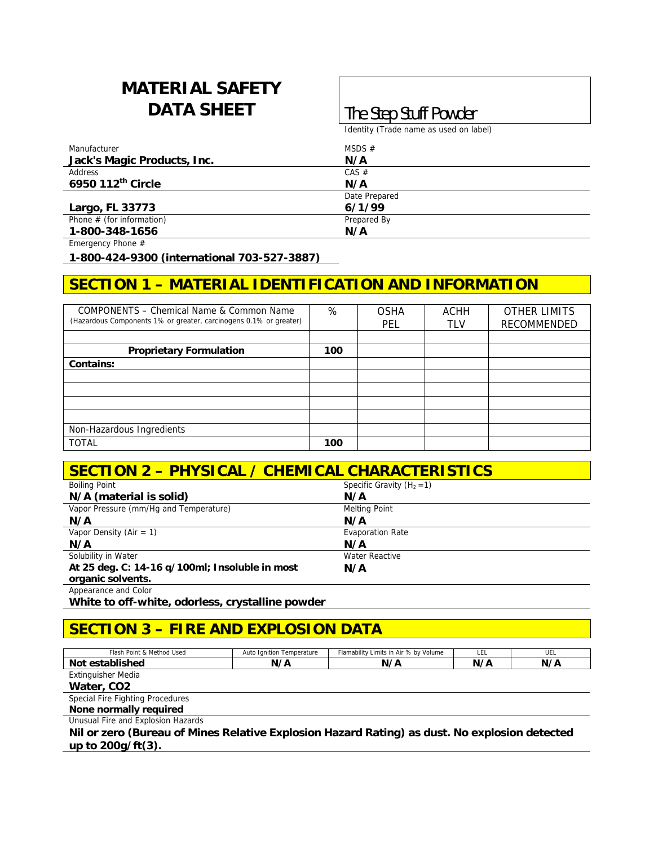# **MATERIAL SAFETY DATA SHEET The Step Stuff Powder**

Identity (Trade name as used on label)

| Manufacturer                | MSDS $#$      |
|-----------------------------|---------------|
| Jack's Magic Products, Inc. | N/A           |
| Address                     | CAS #         |
| 6950 112th Circle           | N/A           |
|                             | Date Prepared |
| Largo, FL 33773             | 6/1/99        |
| Phone $#$ (for information) | Prepared By   |
| 1-800-348-1656              | N/A           |

Emergency Phone #

**1-800-424-9300 (international 703-527-3887)** 

## **SECTION 1 – MATERIAL IDENTIFICATION AND INFORMATION**

| COMPONENTS – Chemical Name & Common Name<br>(Hazardous Components 1% or greater, carcinogens 0.1% or greater) | %   | <b>OSHA</b><br>PEL | ACHH<br><b>TLV</b> | <b>OTHER LIMITS</b><br>RECOMMENDED |
|---------------------------------------------------------------------------------------------------------------|-----|--------------------|--------------------|------------------------------------|
|                                                                                                               |     |                    |                    |                                    |
| <b>Proprietary Formulation</b>                                                                                | 100 |                    |                    |                                    |
| Contains:                                                                                                     |     |                    |                    |                                    |
|                                                                                                               |     |                    |                    |                                    |
|                                                                                                               |     |                    |                    |                                    |
|                                                                                                               |     |                    |                    |                                    |
|                                                                                                               |     |                    |                    |                                    |
| Non-Hazardous Ingredients                                                                                     |     |                    |                    |                                    |
| <b>TOTAL</b>                                                                                                  | 100 |                    |                    |                                    |

| <b>SECTION 2 - PHYSICAL / CHEMICAL CHARACTERISTICS</b> |                              |  |  |  |
|--------------------------------------------------------|------------------------------|--|--|--|
| <b>Boiling Point</b>                                   | Specific Gravity $(H_2 = 1)$ |  |  |  |
| N/A (material is solid)                                | N/A                          |  |  |  |
| Vapor Pressure (mm/Hq and Temperature)                 | <b>Melting Point</b>         |  |  |  |
| N/A                                                    | N/A                          |  |  |  |
| Vapor Density (Air = $1$ )                             | <b>Evaporation Rate</b>      |  |  |  |
| N/A                                                    | N/A                          |  |  |  |
| Solubility in Water                                    | Water Reactive               |  |  |  |
| At 25 deg. C: 14-16 q/100ml; Insoluble in most         | N/A                          |  |  |  |
| organic solvents.                                      |                              |  |  |  |
| Appearance and Color                                   |                              |  |  |  |

**White to off-white, odorless, crystalline powder** 

# **SECTION 3 – FIRE AND EXPLOSION DATA**

| Auto Ignition Temperature | Flamability Limits in Air % by Volume | LEL | UEL                                                                                           |
|---------------------------|---------------------------------------|-----|-----------------------------------------------------------------------------------------------|
| N/A                       | N/A                                   | N/A | N/A                                                                                           |
|                           |                                       |     |                                                                                               |
|                           |                                       |     |                                                                                               |
|                           |                                       |     |                                                                                               |
|                           |                                       |     |                                                                                               |
|                           |                                       |     |                                                                                               |
|                           |                                       |     |                                                                                               |
|                           |                                       |     |                                                                                               |
|                           |                                       |     | Nil or zero (Bureau of Mines Relative Explosion Hazard Rating) as dust. No explosion detected |